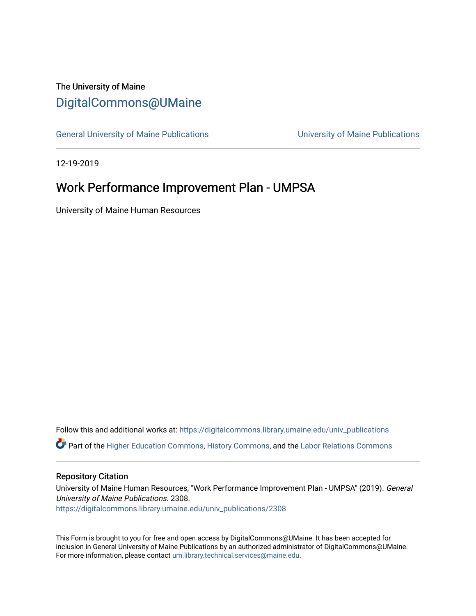## The University of Maine [DigitalCommons@UMaine](https://digitalcommons.library.umaine.edu/)

[General University of Maine Publications](https://digitalcommons.library.umaine.edu/univ_publications) [University of Maine Publications](https://digitalcommons.library.umaine.edu/umaine_publications) 

12-19-2019

# Work Performance Improvement Plan - UMPSA

University of Maine Human Resources

Follow this and additional works at: [https://digitalcommons.library.umaine.edu/univ\\_publications](https://digitalcommons.library.umaine.edu/univ_publications?utm_source=digitalcommons.library.umaine.edu%2Funiv_publications%2F2308&utm_medium=PDF&utm_campaign=PDFCoverPages)  Part of the [Higher Education Commons,](http://network.bepress.com/hgg/discipline/1245?utm_source=digitalcommons.library.umaine.edu%2Funiv_publications%2F2308&utm_medium=PDF&utm_campaign=PDFCoverPages) [History Commons,](http://network.bepress.com/hgg/discipline/489?utm_source=digitalcommons.library.umaine.edu%2Funiv_publications%2F2308&utm_medium=PDF&utm_campaign=PDFCoverPages) and the [Labor Relations Commons](http://network.bepress.com/hgg/discipline/635?utm_source=digitalcommons.library.umaine.edu%2Funiv_publications%2F2308&utm_medium=PDF&utm_campaign=PDFCoverPages) 

#### Repository Citation

University of Maine Human Resources, "Work Performance Improvement Plan - UMPSA" (2019). General University of Maine Publications. 2308. [https://digitalcommons.library.umaine.edu/univ\\_publications/2308](https://digitalcommons.library.umaine.edu/univ_publications/2308?utm_source=digitalcommons.library.umaine.edu%2Funiv_publications%2F2308&utm_medium=PDF&utm_campaign=PDFCoverPages)

This Form is brought to you for free and open access by DigitalCommons@UMaine. It has been accepted for inclusion in General University of Maine Publications by an authorized administrator of DigitalCommons@UMaine. For more information, please contact [um.library.technical.services@maine.edu](mailto:um.library.technical.services@maine.edu).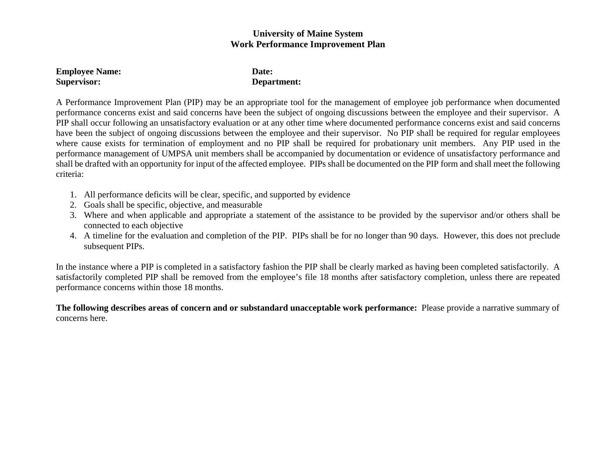### **University of Maine System Work Performance Improvement Plan**

| <b>Employee Name:</b> | Date:       |
|-----------------------|-------------|
| Supervisor:           | Department: |

A Performance Improvement Plan (PIP) may be an appropriate tool for the management of employee job performance when documented performance concerns exist and said concerns have been the subject of ongoing discussions between the employee and their supervisor. A PIP shall occur following an unsatisfactory evaluation or at any other time where documented performance concerns exist and said concerns have been the subject of ongoing discussions between the employee and their supervisor. No PIP shall be required for regular employees where cause exists for termination of employment and no PIP shall be required for probationary unit members. Any PIP used in the performance management of UMPSA unit members shall be accompanied by documentation or evidence of unsatisfactory performance and shall be drafted with an opportunity for input of the affected employee. PIPs shall be documented on the PIP form and shall meet the following criteria:

- 1. All performance deficits will be clear, specific, and supported by evidence
- 2. Goals shall be specific, objective, and measurable
- 3. Where and when applicable and appropriate a statement of the assistance to be provided by the supervisor and/or others shall be connected to each objective
- 4. A timeline for the evaluation and completion of the PIP. PIPs shall be for no longer than 90 days. However, this does not preclude subsequent PIPs.

In the instance where a PIP is completed in a satisfactory fashion the PIP shall be clearly marked as having been completed satisfactorily. A satisfactorily completed PIP shall be removed from the employee's file 18 months after satisfactory completion, unless there are repeated performance concerns within those 18 months.

**The following describes areas of concern and or substandard unacceptable work performance:** Please provide a narrative summary of concerns here.